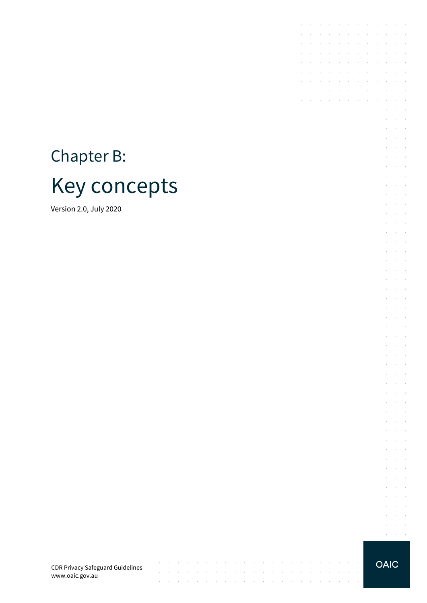# Chapter B: Key concepts

Version 2.0, July 2020

CDR Privacy Safeguard Guidelines www.oaic.gov.au

 $\mathcal{A}^{\mathcal{A}}$  , and  $\mathcal{A}^{\mathcal{A}}$  , and  $\mathcal{A}^{\mathcal{A}}$  , and  $\mathcal{A}^{\mathcal{A}}$ 

contract and state

 $\sim$  $\sim$  $\sim$  $\sim$  $\sim$ 

 $\mathcal{L}$ 

 $\mathcal{A}^{\mathcal{A}}$  and  $\mathcal{A}^{\mathcal{A}}$ 

 $\sim$  $\sim$ 

والتواصل والمتناوب والموالي والمتناوب والتواصل والمتناوب والمتناوب والمتناوب والمتناوب  $\mathcal{A}$  . The contribution of the contribution of the contribution of  $\mathcal{A}$ 

 $\sim$ 

 $\sim$ 

 $\sim$ 

 $\sim$ 

 $\sim$ 

 $\sim$  $\sim$  $\sim$  **OAIC** 

the contract of the contract of the contract of

 $\Delta\phi$  and  $\Delta\phi$  and  $\Delta\phi$ 

 $\mathcal{L}^{\text{max}}$ 

 $\sim$ 

 $\mathcal{L}$ 

 $\alpha$  ,  $\beta$  ,  $\alpha$  ,  $\beta$  $\mathcal{L}^{\text{max}}$  and  $\mathcal{L}^{\text{max}}$  $\bar{\mathcal{L}}$  $\sim$  $\sim$  $\alpha = \alpha + \beta$ **Service** State  $\sim$  $\Delta\sim 10^{-1}$  $\alpha = 1, \ldots, 1$  $\mathcal{L}^{\text{max}}$  and  $\mathcal{L}^{\text{max}}$  $\mathcal{L}^{\pm}$  $\sim 10^{-1}$  $\bar{z}$  $\Delta\phi=2\pi\pi/3$  $\mathcal{L}=\mathcal{L}=\mathcal{L}$  $\Delta\phi$  and  $\Delta\phi$  and  $\Delta\phi$  $\Delta\phi$  and  $\Delta\phi$  and  $\Delta\phi$ and the conand the control  $\mathcal{L}^{\text{max}}$  and  $\mathcal{L}^{\text{max}}$  $\mathcal{L}^{\pm}$  $\mathcal{L}^{\text{max}}$  $\Delta\phi$  and  $\Delta\phi$  and  $\Delta\phi$  $\alpha = \alpha = 1$  $\mathcal{L}^{\mathcal{L}}$  $\sim$  $\Delta\phi$  and  $\Delta\phi$  and  $\Delta\phi$  $\Delta \sim 10^{-10}$  k à.  $\mathcal{A}^{\mathcal{A}}$  and  $\mathcal{A}^{\mathcal{A}}$  and  $\mathcal{A}^{\mathcal{A}}$  $\Delta \sim 10^{11}$  m  $^{-1}$  $\bar{z}$  $\bar{z}$  $\bar{z}$  $\Delta\phi$  and  $\Delta\phi$  $\Delta \sim 10^{-10}$  km  $^{-1}$  $\bar{z}$  $\sim$  $\Delta\phi$  and  $\Delta\phi$  and  $\Delta\phi$ **Service** State  $\mathcal{L}$  $\bar{z}$  $\sim$  $\alpha = \alpha + \beta$  $\mathcal{L}^{\text{max}}$  , and  $\mathcal{L}^{\text{max}}$  $\sim$  $\alpha$  ,  $\beta$  ,  $\alpha$  $\Delta\phi$  and  $\Delta\phi$  and  $\Delta\phi$  and  $\Delta\phi$  and  $\Delta\phi$ **Service State**  $\Delta\phi$  and  $\Delta\phi$  $\alpha = 1, \ldots, 1$ 

 $\sim$ 

 $\sim 10^{-1}$ 

 $\sim$ 

 $\mathcal{L}$  $\sim$ **College**  $\Delta\phi$  and  $\Delta\phi$  and  $\Delta\phi$  $\mathcal{L}^{\pm}$  $\bar{z}$  $\Delta\sim 10^{11}$  m  $^{-1}$  $\mathcal{L}^{\text{max}}$  and  $\mathcal{L}^{\text{max}}$ 

 $\mathcal{A}$  . The contribution of the contribution of the contribution of  $\mathcal{A}$  $\mathcal{L}^{\mathcal{A}}$  . The contribution of the contribution of the contribution of  $\mathcal{L}^{\mathcal{A}}$ 

the control of the control of

the control of the control of

the contract of the contract of the contract of

 $\mathcal{L}^{\mathcal{A}}$  . The contribution of the contribution of the contribution of  $\mathcal{L}^{\mathcal{A}}$ and a state of the state of the

 $\sim$  $\epsilon$ J.

> $\mathcal{A}$  $\sim$

 $\epsilon$  $\sim$  $\sim$ 

V.

 $\mathcal{L}$  $\mathcal{A}$  $\sim 10^{-1}$ 

i.

 $\sim 10^{-1}$  $\mathcal{A}^{\mathcal{A}}$  and  $\mathcal{A}^{\mathcal{A}}$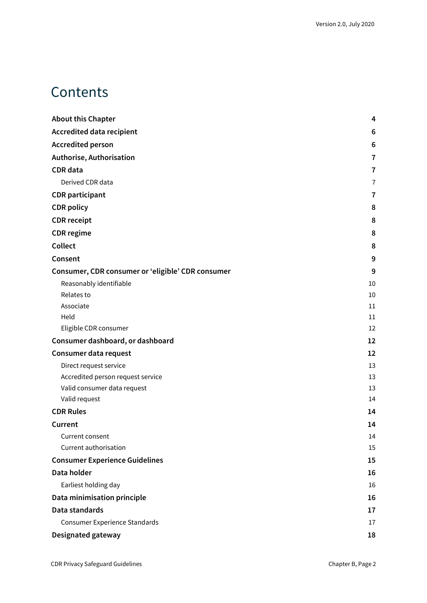### **Contents**

| <b>About this Chapter</b>                         | 4              |
|---------------------------------------------------|----------------|
| <b>Accredited data recipient</b>                  | 6              |
| <b>Accredited person</b>                          | 6              |
| Authorise, Authorisation                          | $\overline{7}$ |
| <b>CDR</b> data                                   | $\overline{7}$ |
| Derived CDR data                                  | $\overline{1}$ |
| <b>CDR</b> participant                            | 7              |
| <b>CDR</b> policy                                 | 8              |
| <b>CDR</b> receipt                                | 8              |
| <b>CDR</b> regime                                 | 8              |
| <b>Collect</b>                                    | 8              |
| Consent                                           | 9              |
| Consumer, CDR consumer or 'eligible' CDR consumer | 9              |
| Reasonably identifiable                           | 10             |
| Relates to                                        | 10             |
| Associate                                         | 11             |
| Held                                              | 11             |
| Eligible CDR consumer                             | 12             |
| Consumer dashboard, or dashboard                  | 12             |
| Consumer data request                             | 12             |
| Direct request service                            | 13             |
| Accredited person request service                 | 13             |
| Valid consumer data request                       | 13             |
| Valid request                                     | 14             |
| <b>CDR Rules</b>                                  | 14             |
| Current                                           | 14             |
| Current consent                                   | 14             |
| Current authorisation                             | 15             |
| <b>Consumer Experience Guidelines</b>             | 15             |
| Data holder                                       | 16             |
| Earliest holding day                              | 16             |
| Data minimisation principle                       | 16             |
| Data standards                                    | 17             |
| <b>Consumer Experience Standards</b>              | 17             |
| Designated gateway                                | 18             |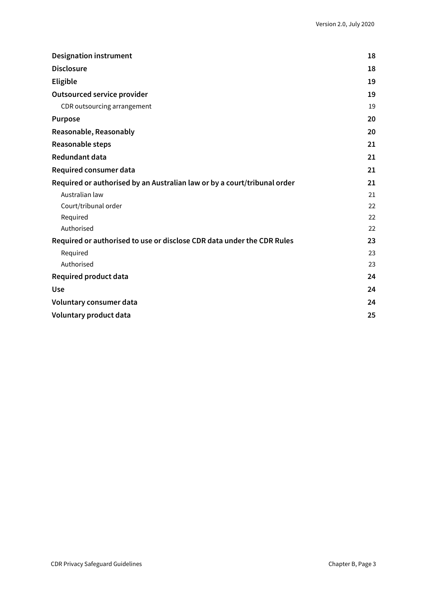| <b>Designation instrument</b>                                            | 18 |
|--------------------------------------------------------------------------|----|
| <b>Disclosure</b>                                                        | 18 |
| <b>Eligible</b>                                                          | 19 |
| <b>Outsourced service provider</b>                                       | 19 |
| CDR outsourcing arrangement                                              | 19 |
| <b>Purpose</b>                                                           | 20 |
| Reasonable, Reasonably                                                   | 20 |
| Reasonable steps                                                         | 21 |
| <b>Redundant data</b>                                                    | 21 |
| Required consumer data                                                   | 21 |
| Required or authorised by an Australian law or by a court/tribunal order | 21 |
| Australian law                                                           | 21 |
| Court/tribunal order                                                     | 22 |
| Required                                                                 | 22 |
| Authorised                                                               | 22 |
| Required or authorised to use or disclose CDR data under the CDR Rules   | 23 |
| Required                                                                 | 23 |
| Authorised                                                               | 23 |
| <b>Required product data</b>                                             | 24 |
| <b>Use</b>                                                               | 24 |
| Voluntary consumer data                                                  | 24 |
| Voluntary product data                                                   | 25 |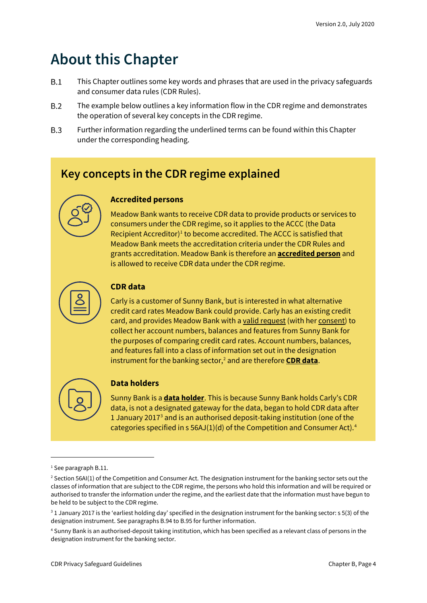### <span id="page-3-0"></span>**About this Chapter**

- $B.1$ This Chapter outlines some key words and phrases that are used in the privacy safeguards and consumer data rules (CDR Rules).
- $B.2$ The example below outlines a key information flow in the CDR regime and demonstrates the operation of several key concepts in the CDR regime.
- $B.3$ Further information regarding the underlined terms can be found within this Chapter under the corresponding heading.

#### **Key concepts in the CDR regime explained**



Meadow Bank wants to receive CDR data to provide products or services to consumers under the CDR regime, so it applies to the ACCC (the Data Recipient Accreditor) [1](#page-3-1) to become accredited. The ACCC is satisfied that Meadow Bank meets the accreditation criteria under the CDR Rules and grants accreditation. Meadow Bank is therefore an **accredited person** and is allowed to receive CDR data under the CDR regime.



#### **CDR data**

Carly is a customer of Sunny Bank, but is interested in what alternative credit card rates Meadow Bank could provide. Carly has an existing credit card, and provides Meadow Bank with a valid request (with her consent) to collect her account numbers, balances and features from Sunny Bank for the purposes of comparing credit card rates. Account numbers, balances, and features fall into a class of information set out in the designation instrument for the banking sector,<sup>[2](#page-3-2)</sup> and are therefore **CDR data**.



#### **Data holders**

Sunny Bank is a **data holder**. This is because Sunny Bank holds Carly's CDR data, is not a designated gateway for the data, began to hold CDR data after 1 January 2017 $3$  and is an authorised deposit-taking institution (one of the categories specified in s  $56$ AJ(1)(d) of the Competition and Consumer Act).<sup>[4](#page-3-4)</sup>

<span id="page-3-1"></span><sup>1</sup> See paragraph B.11.

<span id="page-3-2"></span><sup>&</sup>lt;sup>2</sup> Section 56AI(1) of the Competition and Consumer Act. The designation instrument for the banking sector sets out the classes of information that are subject to the CDR regime, the persons who hold this information and will be required or authorised to transfer the information under the regime, and the earliest date that the information must have begun to be held to be subject to the CDR regime.

<span id="page-3-3"></span><sup>&</sup>lt;sup>3</sup> 1 January 2017 is the 'earliest holding day' specified in the designation instrument for the banking sector: s 5(3) of the designation instrument. See paragraphs B.94 to B.95 for further information.

<span id="page-3-4"></span><sup>4</sup> Sunny Bank is an authorised-deposit taking institution, which has been specified as a relevant class of persons in the designation instrument for the banking sector.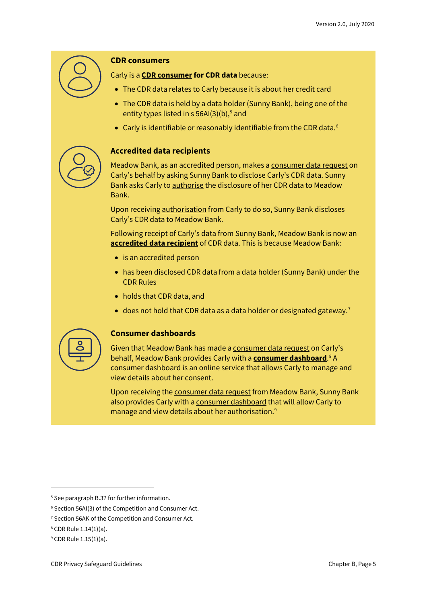

#### **CDR consumers**

Carly is a **CDR consumer for CDR data** because:

- The CDR data relates to Carly because it is about her credit card
- The CDR data is held by a data holder (Sunny Bank), being one of the entity types listed in  $s$  [5](#page-4-0)6AI(3)(b),<sup>5</sup> and
- Carly is identifiable or reasonably identifiable from the CDR data.<sup>[6](#page-4-1)</sup>



#### **Accredited data recipients**

Meadow Bank, as an accredited person, makes a consumer data request on Carly's behalf by asking Sunny Bank to disclose Carly's CDR data. Sunny Bank asks Carly to authorise the disclosure of her CDR data to Meadow Bank.

Upon receiving authorisation from Carly to do so, Sunny Bank discloses Carly's CDR data to Meadow Bank.

Following receipt of Carly's data from Sunny Bank, Meadow Bank is now an **accredited data recipient** of CDR data. This is because Meadow Bank:

- is an accredited person
- has been disclosed CDR data from a data holder (Sunny Bank) under the CDR Rules
- holds that CDR data, and
- does not hold that CDR data as a data holder or designated gateway.<sup>[7](#page-4-2)</sup>



#### **Consumer dashboards**

Given that Meadow Bank has made a consumer data request on Carly's behalf, Meadow Bank provides Carly with a **consumer dashboard**. [8](#page-4-3) A consumer dashboard is an online service that allows Carly to manage and view details about her consent.

Upon receiving the consumer data request from Meadow Bank, Sunny Bank also provides Carly with a consumer dashboard that will allow Carly to manage and view details about her authorisation.<sup>[9](#page-4-4)</sup>

<span id="page-4-0"></span><sup>&</sup>lt;sup>5</sup> See paragraph B.37 for further information.

<span id="page-4-1"></span><sup>6</sup> Section 56AI(3) of the Competition and Consumer Act.

<span id="page-4-2"></span><sup>&</sup>lt;sup>7</sup> Section 56AK of the Competition and Consumer Act.

<span id="page-4-3"></span><sup>8</sup> CDR Rule 1.14(1)(a).

<span id="page-4-4"></span><sup>9</sup> CDR Rule 1.15(1)(a).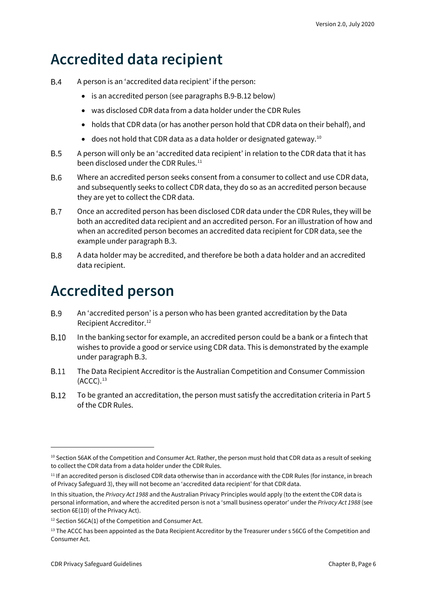### <span id="page-5-0"></span>**Accredited data recipient**

- **B.4** A person is an 'accredited data recipient' if the person:
	- is an accredited person (see paragraphs B.9-B.12 below)
	- was disclosed CDR data from a data holder under the CDR Rules
	- holds that CDR data (or has another person hold that CDR data on their behalf), and
	- does not hold that CDR data as a data holder or designated gateway.[10](#page-5-2)
- $B.5$ A person will only be an 'accredited data recipient' in relation to the CDR data that it has been disclosed under the CDR Rules. [11](#page-5-3)
- **B.6** Where an accredited person seeks consent from a consumer to collect and use CDR data, and subsequently seeks to collect CDR data, they do so as an accredited person because they are yet to collect the CDR data.
- $B.7$ Once an accredited person has been disclosed CDR data under the CDR Rules, they will be both an accredited data recipient and an accredited person. For an illustration of how and when an accredited person becomes an accredited data recipient for CDR data, see the example under paragraph B.3.
- **B.8** A data holder may be accredited, and therefore be both a data holder and an accredited data recipient.

### <span id="page-5-1"></span>**Accredited person**

- **B.9** An 'accredited person' is a person who has been granted accreditation by the Data Recipient Accreditor. [12](#page-5-4)
- $B.10$ In the banking sector for example, an accredited person could be a bank or a fintech that wishes to provide a good or service using CDR data. This is demonstrated by the example under paragraph B.3.
- **B.11** The Data Recipient Accreditor is the Australian Competition and Consumer Commission  $(ACCC).<sup>13</sup>$  $(ACCC).<sup>13</sup>$  $(ACCC).<sup>13</sup>$
- **B.12** To be granted an accreditation, the person must satisfy the accreditation criteria in Part 5 of the CDR Rules.

<span id="page-5-2"></span><sup>&</sup>lt;sup>10</sup> Section 56AK of the Competition and Consumer Act. Rather, the person must hold that CDR data as a result of seeking to collect the CDR data from a data holder under the CDR Rules.

<span id="page-5-3"></span> $11$  If an accredited person is disclosed CDR data otherwise than in accordance with the CDR Rules (for instance, in breach of Privacy Safeguard 3), they will not become an 'accredited data recipient' for that CDR data.

In this situation, the *Privacy Act 1988* and the Australian Privacy Principles would apply (to the extent the CDR data is personal information, and where the accredited person is not a 'small business operator' under the *Privacy Act 1988* (see section 6E(1D) of the Privacy Act).

<span id="page-5-4"></span><sup>&</sup>lt;sup>12</sup> Section 56CA(1) of the Competition and Consumer Act.

<span id="page-5-5"></span> $13$  The ACCC has been appointed as the Data Recipient Accreditor by the Treasurer under s 56CG of the Competition and Consumer Act.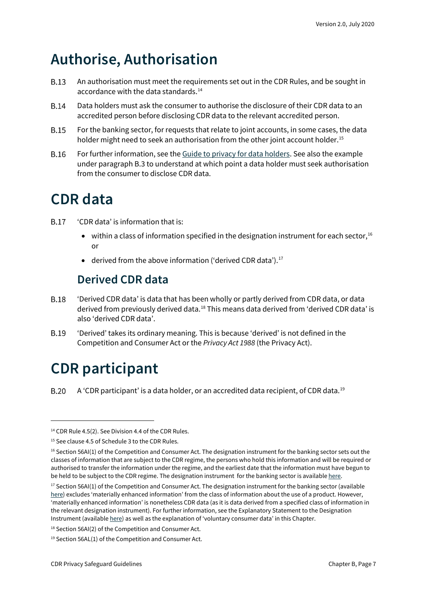### <span id="page-6-0"></span>**Authorise, Authorisation**

- **B.13** An authorisation must meet the requirements set out in the CDR Rules, and be sought in accordance with the data standards. [14](#page-6-4)
- **B.14** Data holders must ask the consumer to authorise the disclosure of their CDR data to an accredited person before disclosing CDR data to the relevant accredited person.
- **B.15** For the banking sector, for requests that relate to joint accounts, in some cases, the data holder might need to seek an authorisation from the other joint account holder.<sup>[15](#page-6-5)</sup>
- **B.16** For further information, see th[e Guide to privacy for data holders.](https://www.oaic.gov.au/consumer-data-right/guidance-and-advice/guide-to-privacy-for-data-holders/#authorisation) See also the example under paragraph B.3 to understand at which point a data holder must seek authorisation from the consumer to disclose CDR data.

# <span id="page-6-1"></span>**CDR data**

- 'CDR data' is information that is: **B.17** 
	- within a class of information specified in the designation instrument for each sector,  $16$ or
	- derived from the above information ('derived CDR data').<sup>[17](#page-6-7)</sup>

#### **Derived CDR data**

- <span id="page-6-2"></span>**B.18** 'Derived CDR data' is data that has been wholly or partly derived from CDR data, or data derived from previously derived data.<sup>[18](#page-6-8)</sup> This means data derived from 'derived CDR data' is also 'derived CDR data'.
- **B.19** 'Derived' takes its ordinary meaning. This is because 'derived' is not defined in the Competition and Consumer Act or the *Privacy Act 1988* (the Privacy Act).

# <span id="page-6-3"></span>**CDR participant**

**B.20** A 'CDR participant' is a data holder, or an accredited data recipient, of CDR data. $^{19}$  $^{19}$  $^{19}$ 

<span id="page-6-4"></span><sup>&</sup>lt;sup>14</sup> CDR Rule 4.5(2). See Division 4.4 of the CDR Rules.

<span id="page-6-5"></span><sup>&</sup>lt;sup>15</sup> See clause 4.5 of Schedule 3 to the CDR Rules.

<span id="page-6-6"></span> $16$  Section 56AI(1) of the Competition and Consumer Act. The designation instrument for the banking sector sets out the classes of information that are subject to the CDR regime, the persons who hold this information and will be required or authorised to transfer the information under the regime, and the earliest date that the information must have begun to be held to be subject to the CDR regime. The designation instrument for the banking sector is availabl[e here.](https://www.legislation.gov.au/Details/F2019L01153)

<span id="page-6-7"></span> $17$  Section 56AI(1) of the Competition and Consumer Act. The designation instrument for the banking sector (available [here\)](https://www.legislation.gov.au/Details/F2019L01153) excludes 'materially enhanced information' from the class of information about the use of a product. However, 'materially enhanced information' is nonetheless CDR data (as it is data derived from a specified class of information in the relevant designation instrument). For further information, see the Explanatory Statement to the Designation Instrument (availabl[e here\)](https://www.legislation.gov.au/Details/F2019L01153/Explanatory%20Statement/Text) as well as the explanation of 'voluntary consumer data' in this Chapter.

<span id="page-6-8"></span><sup>18</sup> Section 56AI(2) of the Competition and Consumer Act.

<span id="page-6-9"></span><sup>19</sup> Section 56AL(1) of the Competition and Consumer Act.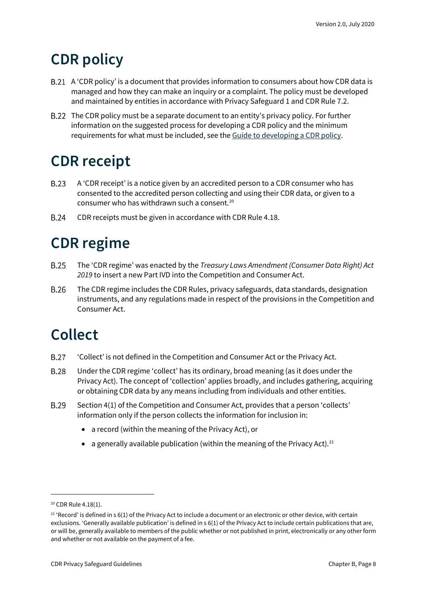### <span id="page-7-0"></span>**CDR policy**

- A 'CDR policy' is a document that provides information to consumers about how CDR data is managed and how they can make an inquiry or a complaint. The policy must be developed and maintained by entities in accordance with Privacy Safeguard 1 and CDR Rule 7.2.
- The CDR policy must be a separate document to an entity's privacy policy. For further information on the suggested process for developing a CDR policy and the minimum requirements for what must be included, see the [Guide to developing a CDR policy.](https://www.oaic.gov.au/consumer-data-right/guidance-and-advice/guide-to-developing-a-cdr-policy/)

# <span id="page-7-1"></span>**CDR receipt**

- **B.23** A 'CDR receipt' is a notice given by an accredited person to a CDR consumer who has consented to the accredited person collecting and using their CDR data, or given to a consumer who has withdrawn such a consent.[20](#page-7-4)
- **B.24** CDR receipts must be given in accordance with CDR Rule 4.18.

# <span id="page-7-2"></span>**CDR regime**

- **B.25** The 'CDR regime' was enacted by the *Treasury Laws Amendment (Consumer Data Right) Act 2019* to insert a new Part IVD into the Competition and Consumer Act.
- **B.26** The CDR regime includes the CDR Rules, privacy safeguards, data standards, designation instruments, and any regulations made in respect of the provisions in the Competition and Consumer Act.

# <span id="page-7-3"></span>**Collect**

- **B.27** 'Collect' is not defined in the Competition and Consumer Act or the Privacy Act.
- **B.28** Under the CDR regime 'collect' has its ordinary, broad meaning (as it does under the Privacy Act). The concept of 'collection' applies broadly, and includes gathering, acquiring or obtaining CDR data by any means including from individuals and other entities.
- **B.29** Section 4(1) of the Competition and Consumer Act, provides that a person 'collects' information only if the person collects the information for inclusion in:
	- a record (within the meaning of the Privacy Act), or
	- a generally available publication (within the meaning of the Privacy Act).<sup>[21](#page-7-5)</sup>

<span id="page-7-4"></span><sup>&</sup>lt;sup>20</sup> CDR Rule 4.18(1).

<span id="page-7-5"></span> $21$  'Record' is defined in s 6(1) of the Privacy Act to include a document or an electronic or other device, with certain exclusions. 'Generally available publication' is defined in s 6(1) of the Privacy Act to include certain publications that are, or will be, generally available to members of the public whether or not published in print, electronically or any other form and whether or not available on the payment of a fee.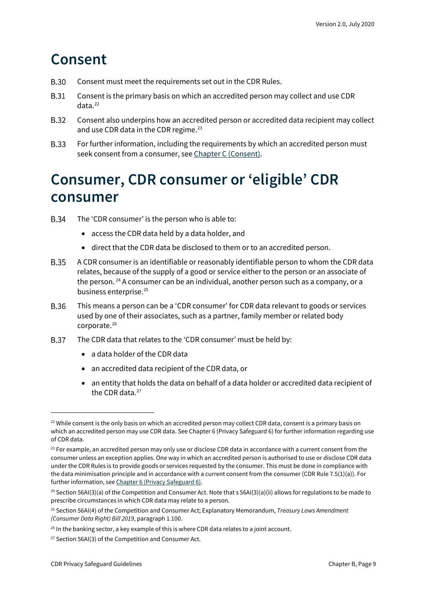### <span id="page-8-0"></span>**Consent**

- **B.30** Consent must meet the requirements set out in the CDR Rules.
- **B.31** Consent is the primary basis on which an accredited person may collect and use CDR data. [22](#page-8-2)
- **B.32** Consent also underpins how an accredited person or accredited data recipient may collect and use CDR data in the CDR regime.<sup>[23](#page-8-3)</sup>
- **B.33** For further information, including the requirements by which an accredited person must seek consent from a consumer, see [Chapter C \(Consent\).](https://www.oaic.gov.au/consumer-data-right/cdr-privacy-safeguard-guidelines/chapter-c-consent-the-basis-for-collecting-and-using-cdr-data)

### <span id="page-8-1"></span>**Consumer, CDR consumer or 'eligible' CDR consumer**

- **B.34** The 'CDR consumer' is the person who is able to:
	- access the CDR data held by a data holder, and
	- direct that the CDR data be disclosed to them or to an accredited person.
- **B.35** A CDR consumer is an identifiable or reasonably identifiable person to whom the CDR data relates, because of the supply of a good or service either to the person or an associate of the person.<sup>[24](#page-8-4)</sup> A consumer can be an individual, another person such as a company, or a business enterprise.<sup>25</sup>
- **B.36** This means a person can be a 'CDR consumer' for CDR data relevant to goods or services used by one of their associates, such as a partner, family member or related body corporate. [26](#page-8-6)
- **B.37** The CDR data that relates to the 'CDR consumer' must be held by:
	- a data holder of the CDR data
	- an accredited data recipient of the CDR data, or
	- an entity that holds the data on behalf of a data holder or accredited data recipient of the CDR data.<sup>[27](#page-8-7)</sup>

<span id="page-8-2"></span> $22$  While consent is the only basis on which an accredited person may collect CDR data, consent is a primary basis on which an accredited person may use CDR data. See Chapter 6 (Privacy Safeguard 6) for further information regarding use of CDR data.

<span id="page-8-3"></span> $23$  For example, an accredited person may only use or disclose CDR data in accordance with a current consent from the consumer unless an exception applies. One way in which an accredited person is authorised to use or disclose CDR data under the CDR Rules is to provide goods or services requested by the consumer. This must be done in compliance with the data minimisation principle and in accordance with a current consent from the consumer (CDR Rule 7.5(1)(a)). For further information, se[e Chapter 6 \(Privacy Safeguard 6\).](https://www.oaic.gov.au/consumer-data-right/cdr-privacy-safeguard-guidelines/chapter-6-privacy-safeguard-6-use-or-disclosure-of-cdr-data-by-accredited-data-recipients-or-designated-gateways)

<span id="page-8-4"></span><sup>&</sup>lt;sup>24</sup> Section 56AI(3)(a) of the Competition and Consumer Act. Note that s 56AI(3)(a)(ii) allows for regulations to be made to prescribe circumstances in which CDR data may relate to a person.

<span id="page-8-5"></span><sup>25</sup> Section 56AI(4) of the Competition and Consumer Act; Explanatory Memorandum, *Treasury Laws Amendment (Consumer Data Right) Bill 2019*, paragraph 1.100.

<span id="page-8-6"></span> $26$  In the banking sector, a key example of this is where CDR data relates to a joint account.

<span id="page-8-7"></span><sup>&</sup>lt;sup>27</sup> Section 56AI(3) of the Competition and Consumer Act.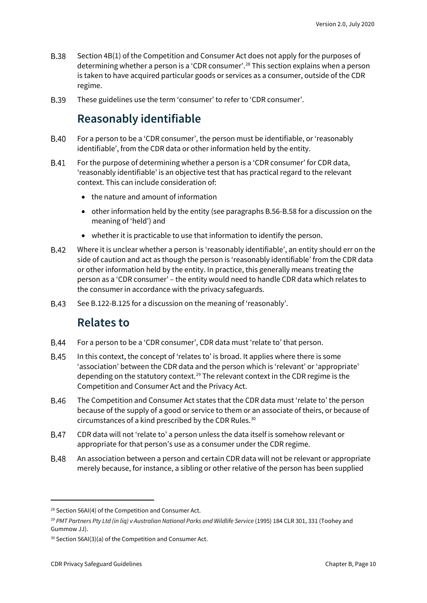- **B.38** Section 4B(1) of the Competition and Consumer Act does not apply for the purposes of determining whether a person is a 'CDR consumer'. [28](#page-9-2) This section explains when a person is taken to have acquired particular goods or services as a consumer, outside of the CDR regime.
- <span id="page-9-0"></span>**B.39** These guidelines use the term 'consumer' to refer to 'CDR consumer'.

#### **Reasonably identifiable**

- **B.40** For a person to be a 'CDR consumer', the person must be identifiable, or 'reasonably identifiable', from the CDR data or other information held by the entity.
- **B.41** For the purpose of determining whether a person is a 'CDR consumer' for CDR data, 'reasonably identifiable' is an objective test that has practical regard to the relevant context. This can include consideration of:
	- the nature and amount of information
	- other information held by the entity (see paragraphs B.56-B.58 for a discussion on the meaning of 'held') and
	- whether it is practicable to use that information to identify the person.
- **B.42** Where it is unclear whether a person is 'reasonably identifiable', an entity should err on the side of caution and act as though the person is 'reasonably identifiable' from the CDR data or other information held by the entity. In practice, this generally means treating the person as a 'CDR consumer' – the entity would need to handle CDR data which relates to the consumer in accordance with the privacy safeguards.
- <span id="page-9-1"></span>**B.43** See B.122-B.125 for a discussion on the meaning of 'reasonably'.

#### **Relates to**

- For a person to be a 'CDR consumer', CDR data must 'relate to' that person. **B.44**
- **B.45** In this context, the concept of 'relates to' is broad. It applies where there is some 'association' between the CDR data and the person which is 'relevant' or 'appropriate' depending on the statutory context.<sup>29</sup> The relevant context in the CDR regime is the Competition and Consumer Act and the Privacy Act.
- **B.46** The Competition and Consumer Act states that the CDR data must 'relate to' the person because of the supply of a good or service to them or an associate of theirs, or because of circumstances of a kind prescribed by the CDR Rules. [30](#page-9-4)
- **B.47** CDR data will not 'relate to' a person unless the data itself is somehow relevant or appropriate for that person's use as a consumer under the CDR regime.
- **B.48** An association between a person and certain CDR data will not be relevant or appropriate merely because, for instance, a sibling or other relative of the person has been supplied

<span id="page-9-2"></span><sup>&</sup>lt;sup>28</sup> Section 56AI(4) of the Competition and Consumer Act.

<span id="page-9-3"></span><sup>&</sup>lt;sup>29</sup> PMT Partners Pty Ltd (in liq) v Australian National Parks and Wildlife Service (1995) 184 CLR 301, 331 (Toohey and Gummow JJ).

<span id="page-9-4"></span><sup>30</sup> Section 56AI(3)(a) of the Competition and Consumer Act.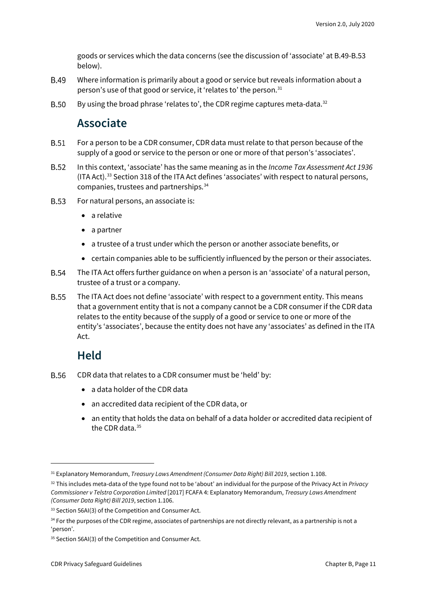goods or services which the data concerns (see the discussion of 'associate' at B.49-B.53 below).

- **B.49** Where information is primarily about a good or service but reveals information about a person's use of that good or service, it 'relates to' the person.<sup>[31](#page-10-2)</sup>
- <span id="page-10-0"></span>**B.50** By using the broad phrase 'relates to', the CDR regime captures meta-data.<sup>[32](#page-10-3)</sup>

#### **Associate**

- **B.51** For a person to be a CDR consumer, CDR data must relate to that person because of the supply of a good or service to the person or one or more of that person's 'associates'.
- **B.52** In this context, 'associate' has the same meaning as in the *Income Tax Assessment Act 1936* (ITA Act).[33](#page-10-4) Section 318 of the ITA Act defines 'associates' with respect to natural persons, companies, trustees and partnerships.[34](#page-10-5)
- **B.53** For natural persons, an associate is:
	- a relative
	- a partner
	- a trustee of a trust under which the person or another associate benefits, or
	- certain companies able to be sufficiently influenced by the person or their associates.
- **B.54** The ITA Act offers further guidance on when a person is an 'associate' of a natural person, trustee of a trust or a company.
- **B.55** The ITA Act does not define 'associate' with respect to a government entity. This means that a government entity that is not a company cannot be a CDR consumer if the CDR data relates to the entity because of the supply of a good or service to one or more of the entity's 'associates', because the entity does not have any 'associates' as defined in the ITA Act.

#### **Held**

- <span id="page-10-1"></span>**B.56** CDR data that relates to a CDR consumer must be 'held' by:
	- a data holder of the CDR data
	- an accredited data recipient of the CDR data, or
	- an entity that holds the data on behalf of a data holder or accredited data recipient of the CDR data.[35](#page-10-6)

<span id="page-10-2"></span><sup>31</sup> Explanatory Memorandum, *Treasury Laws Amendment (Consumer Data Right) Bill 2019*, section 1.108.

<span id="page-10-3"></span><sup>32</sup> This includes meta-data of the type found not to be 'about' an individual for the purpose of the Privacy Act in *Privacy Commissioner v Telstra Corporation Limited* [2017] FCAFA 4: Explanatory Memorandum, *Treasury Laws Amendment (Consumer Data Right) Bill 2019*, section 1.106.

<span id="page-10-4"></span><sup>33</sup> Section 56AI(3) of the Competition and Consumer Act.

<span id="page-10-5"></span><sup>34</sup> For the purposes of the CDR regime, associates of partnerships are not directly relevant, as a partnership is not a 'person'.

<span id="page-10-6"></span><sup>&</sup>lt;sup>35</sup> Section 56AI(3) of the Competition and Consumer Act.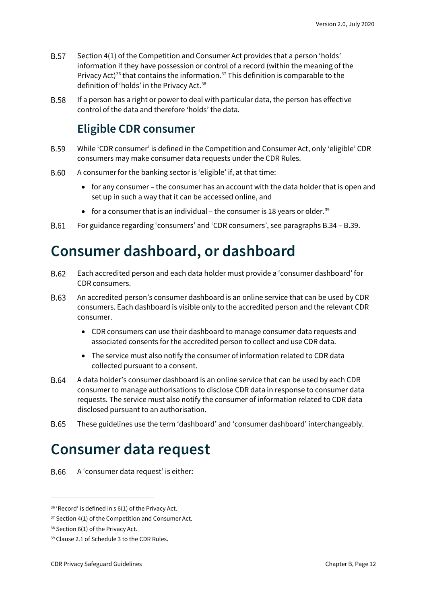- **B.57** Section 4(1) of the Competition and Consumer Act provides that a person 'holds' information if they have possession or control of a record (within the meaning of the Privacy Act)<sup>[36](#page-11-3)</sup> that contains the information.<sup>[37](#page-11-4)</sup> This definition is comparable to the definition of 'holds' in the Privacy Act. [38](#page-11-5)
- <span id="page-11-0"></span>**B.58** If a person has a right or power to deal with particular data, the person has effective control of the data and therefore 'holds' the data.

#### **Eligible CDR consumer**

- **B.59** While 'CDR consumer' is defined in the Competition and Consumer Act, only 'eligible' CDR consumers may make consumer data requests under the CDR Rules.
- **B.60** A consumer for the banking sector is 'eligible' if, at that time:
	- for any consumer the consumer has an account with the data holder that is open and set up in such a way that it can be accessed online, and
	- for a consumer that is an individual the consumer is 18 years or older.<sup>[39](#page-11-6)</sup>
- **B.61** For guidance regarding 'consumers' and 'CDR consumers', see paragraphs B.34 – B.39.

### <span id="page-11-1"></span>**Consumer dashboard, or dashboard**

- B.62 Each accredited person and each data holder must provide a 'consumer dashboard' for CDR consumers.
- B.63 An accredited person's consumer dashboard is an online service that can be used by CDR consumers. Each dashboard is visible only to the accredited person and the relevant CDR consumer.
	- CDR consumers can use their dashboard to manage consumer data requests and associated consents for the accredited person to collect and use CDR data.
	- The service must also notify the consumer of information related to CDR data collected pursuant to a consent.
- **B.64** A data holder's consumer dashboard is an online service that can be used by each CDR consumer to manage authorisations to disclose CDR data in response to consumer data requests. The service must also notify the consumer of information related to CDR data disclosed pursuant to an authorisation.
- **B.65** These guidelines use the term 'dashboard' and 'consumer dashboard' interchangeably.

### <span id="page-11-2"></span>**Consumer data request**

A 'consumer data request' is either: **B.66** 

<span id="page-11-3"></span><sup>&</sup>lt;sup>36</sup> 'Record' is defined in s 6(1) of the Privacy Act.

<span id="page-11-4"></span> $37$  Section 4(1) of the Competition and Consumer Act.

<span id="page-11-5"></span><sup>38</sup> Section 6(1) of the Privacy Act.

<span id="page-11-6"></span><sup>39</sup> Clause 2.1 of Schedule 3 to the CDR Rules.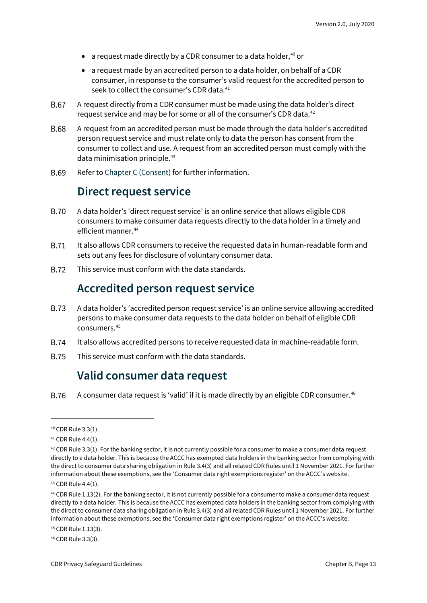- a request made directly by a CDR consumer to a data holder,<sup>[40](#page-12-3)</sup> or
- a request made by an accredited person to a data holder, on behalf of a CDR consumer, in response to the consumer's valid request for the accredited person to seek to collect the consumer's CDR data.<sup>[41](#page-12-4)</sup>
- A request directly from a CDR consumer must be made using the data holder's direct **B.67** request service and may be for some or all of the consumer's CDR data.<sup>[42](#page-12-5)</sup>
- **B.68** A request from an accredited person must be made through the data holder's accredited person request service and must relate only to data the person has consent from the consumer to collect and use. A request from an accredited person must comply with the data minimisation principle.[43](#page-12-6)
- <span id="page-12-0"></span>B.69 Refer to [Chapter C](https://www.oaic.gov.au/consumer-data-right/cdr-privacy-safeguard-guidelines/chapter-c-consent-the-basis-for-collecting-and-using-cdr-data) (Consent) for further information.

#### **Direct request service**

- **B.70** A data holder's 'direct request service' is an online service that allows eligible CDR consumers to make consumer data requests directly to the data holder in a timely and efficient manner.[44](#page-12-7)
- **B.71** It also allows CDR consumers to receive the requested data in human-readable form and sets out any fees for disclosure of voluntary consumer data.
- <span id="page-12-1"></span>**B.72** This service must conform with the data standards.

#### **Accredited person request service**

- **B.73** A data holder's 'accredited person request service' is an online service allowing accredited persons to make consumer data requests to the data holder on behalf of eligible CDR consumers.[45](#page-12-8)
- **B.74** It also allows accredited persons to receive requested data in machine-readable form.
- <span id="page-12-2"></span>**B.75** This service must conform with the data standards.

#### **Valid consumer data request**

**B.76** A consumer data request is 'valid' if it is made directly by an eligible CDR consumer.<sup>46</sup>

<span id="page-12-8"></span><sup>45</sup> CDR Rule 1.13(3).

<span id="page-12-9"></span><sup>46</sup> CDR Rule 3.3(3).

<span id="page-12-3"></span><sup>40</sup> CDR Rule 3.3(1).

<span id="page-12-4"></span><sup>41</sup> CDR Rule 4.4(1).

<span id="page-12-5"></span><sup>&</sup>lt;sup>42</sup> CDR Rule 3.3(1). For the banking sector, it is not currently possible for a consumer to make a consumer data request directly to a data holder. This is because the ACCC has exempted data holders in the banking sector from complying with the direct to consumer data sharing obligation in Rule 3.4(3) and all related CDR Rules until 1 November 2021. For further information about these exemptions, see the ['Consumer data right exemptions register'](https://www.accc.gov.au/public-registers/consumer-data-right-exemptions-register) on the ACCC's website.

<span id="page-12-6"></span><sup>43</sup> CDR Rule 4.4(1).

<span id="page-12-7"></span><sup>44</sup> CDR Rule 1.13(2). For the banking sector, it is not currently possible for a consumer to make a consumer data request directly to a data holder. This is because the ACCC has exempted data holders in the banking sector from complying with the direct to consumer data sharing obligation in Rule 3.4(3) and all related CDR Rules until 1 November 2021. For further information about these exemptions, see the ['Consumer data right exemptions register'](https://www.accc.gov.au/public-registers/consumer-data-right-exemptions-register) on the ACCC's website.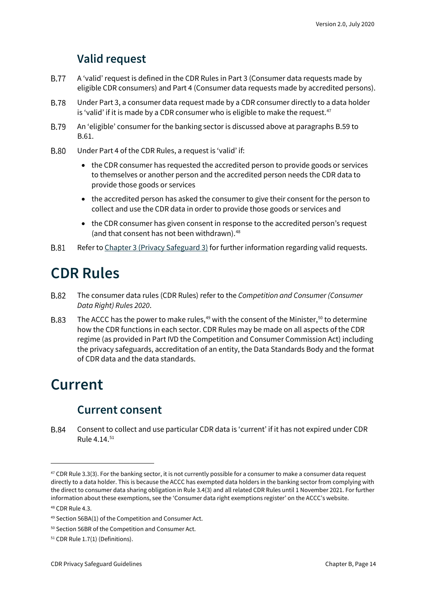#### **Valid request**

- <span id="page-13-0"></span>**B.77** A 'valid' request is defined in the CDR Rules in Part 3 (Consumer data requests made by eligible CDR consumers) and Part 4 (Consumer data requests made by accredited persons).
- **B.78** Under Part 3, a consumer data request made by a CDR consumer directly to a data holder is 'valid' if it is made by a CDR consumer who is eligible to make the request. $47$
- **B.79** An 'eligible' consumer for the banking sector is discussed above at paragraphs B.59 to B.61.
- **B.80** Under Part 4 of the CDR Rules, a request is 'valid' if:
	- the CDR consumer has requested the accredited person to provide goods or services to themselves or another person and the accredited person needs the CDR data to provide those goods or services
	- the accredited person has asked the consumer to give their consent for the person to collect and use the CDR data in order to provide those goods or services and
	- the CDR consumer has given consent in response to the accredited person's request (and that consent has not been withdrawn).<sup>[48](#page-13-5)</sup>
- **B.81** Refer to [Chapter 3 \(Privacy Safeguard 3\)](https://www.oaic.gov.au/consumer-data-right/cdr-privacy-safeguard-guidelines/chapter-3-privacy-safeguard-3-seeking-to-collect-cdr-data-from-cdr-participants) for further information regarding valid requests.

### <span id="page-13-1"></span>**CDR Rules**

- **B.82** The consumer data rules (CDR Rules) refer to the *Competition and Consumer (Consumer Data Right) Rules 2020*.
- **B.83** The ACCC has the power to make rules, $49$  with the consent of the Minister, $50$  to determine how the CDR functions in each sector. CDR Rules may be made on all aspects of the CDR regime (as provided in Part IVD the Competition and Consumer Commission Act) including the privacy safeguards, accreditation of an entity, the Data Standards Body and the format of CDR data and the data standards.

#### <span id="page-13-3"></span><span id="page-13-2"></span>**Current**

#### **Current consent**

**B.84** Consent to collect and use particular CDR data is 'current' if it has not expired under CDR Rule 4.14.[51](#page-13-8)

<span id="page-13-4"></span> $47$  CDR Rule 3.3(3). For the banking sector, it is not currently possible for a consumer to make a consumer data request directly to a data holder. This is because the ACCC has exempted data holders in the banking sector from complying with the direct to consumer data sharing obligation in Rule 3.4(3) and all related CDR Rules until 1 November 2021. For further information about these exemptions, see the ['Consumer data right exemptions register'](https://www.accc.gov.au/public-registers/consumer-data-right-exemptions-register) on the ACCC's website.

<span id="page-13-5"></span><sup>48</sup> CDR Rule 4.3.

<span id="page-13-6"></span><sup>49</sup> Section 56BA(1) of the Competition and Consumer Act.

<span id="page-13-7"></span><sup>50</sup> Section 56BR of the Competition and Consumer Act.

<span id="page-13-8"></span><sup>51</sup> CDR Rule 1.7(1) (Definitions).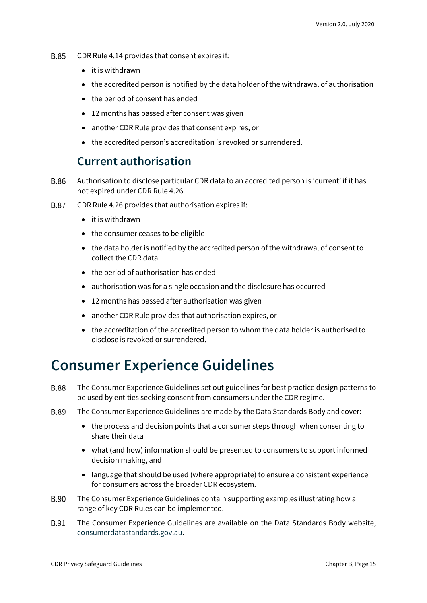- **B.85** CDR Rule 4.14 provides that consent expires if:
	- it is withdrawn
	- the accredited person is notified by the data holder of the withdrawal of authorisation
	- the period of consent has ended
	- 12 months has passed after consent was given
	- another CDR Rule provides that consent expires, or
	- the accredited person's accreditation is revoked or surrendered.

#### **Current authorisation**

- <span id="page-14-0"></span>**B.86** Authorisation to disclose particular CDR data to an accredited person is 'current' if it has not expired under CDR Rule 4.26.
- **B.87** CDR Rule 4.26 provides that authorisation expires if:
	- it is withdrawn
	- the consumer ceases to be eligible
	- the data holder is notified by the accredited person of the withdrawal of consent to collect the CDR data
	- the period of authorisation has ended
	- authorisation was for a single occasion and the disclosure has occurred
	- 12 months has passed after authorisation was given
	- another CDR Rule provides that authorisation expires, or
	- the accreditation of the accredited person to whom the data holder is authorised to disclose is revoked or surrendered.

#### <span id="page-14-1"></span>**Consumer Experience Guidelines**

- **B.88** The Consumer Experience Guidelines set out guidelines for best practice design patterns to be used by entities seeking consent from consumers under the CDR regime.
- **B.89** The Consumer Experience Guidelines are made by the Data Standards Body and cover:
	- the process and decision points that a consumer steps through when consenting to share their data
	- what (and how) information should be presented to consumers to support informed decision making, and
	- language that should be used (where appropriate) to ensure a consistent experience for consumers across the broader CDR ecosystem.
- B.90 The Consumer Experience Guidelines contain supporting examples illustrating how a range of key CDR Rules can be implemented.
- **B.91** The Consumer Experience Guidelines are available on the Data Standards Body website, [consumerdatastandards.gov.au.](http://www.consumerdatastandards.gov.au/)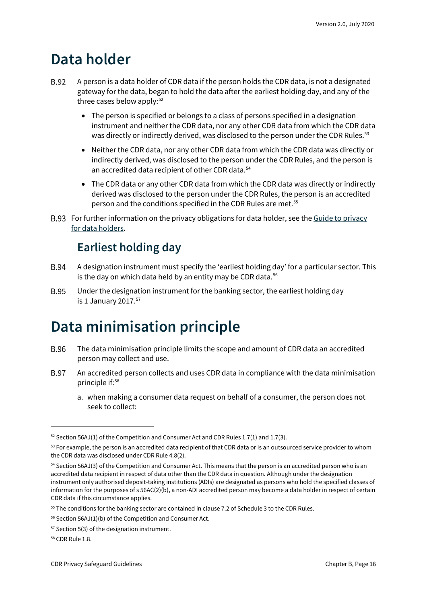#### <span id="page-15-0"></span>**Data holder**

- **B.92** A person is a data holder of CDR data if the person holds the CDR data, is not a designated gateway for the data, began to hold the data after the earliest holding day, and any of the three cases below apply: $52$ 
	- The person is specified or belongs to a class of persons specified in a designation instrument and neither the CDR data, nor any other CDR data from which the CDR data was directly or indirectly derived, was disclosed to the person under the CDR Rules.<sup>[53](#page-15-4)</sup>
	- Neither the CDR data, nor any other CDR data from which the CDR data was directly or indirectly derived, was disclosed to the person under the CDR Rules, and the person is an accredited data recipient of other CDR data.<sup>[54](#page-15-5)</sup>
	- The CDR data or any other CDR data from which the CDR data was directly or indirectly derived was disclosed to the person under the CDR Rules, the person is an accredited person and the conditions specified in the CDR Rules are met.<sup>[55](#page-15-6)</sup>
- <span id="page-15-1"></span>B.93 For further information on the privacy obligations for data holder, see the Guide to privacy [for data holders.](https://www.oaic.gov.au/consumer-data-right/guidance-and-advice/guide-to-privacy-for-data-holders/)

#### **Earliest holding day**

- **B.94** A designation instrument must specify the 'earliest holding day' for a particular sector. This is the day on which data held by an entity may be CDR data. $56$
- **B.95** Under the designation instrument for the banking sector, the earliest holding day is 1 January 2017. $57$

### <span id="page-15-2"></span>**Data minimisation principle**

- The data minimisation principle limits the scope and amount of CDR data an accredited **B.96** person may collect and use.
- **B.97** An accredited person collects and uses CDR data in compliance with the data minimisation principle if:[58](#page-15-9)
	- a. when making a consumer data request on behalf of a consumer, the person does not seek to collect:

<span id="page-15-3"></span> $52$  Section 56AJ(1) of the Competition and Consumer Act and CDR Rules 1.7(1) and 1.7(3).

<span id="page-15-4"></span><sup>&</sup>lt;sup>53</sup> For example, the person is an accredited data recipient of that CDR data or is an outsourced service provider to whom the CDR data was disclosed under CDR Rule 4.8(2).

<span id="page-15-5"></span><sup>54</sup> Section 56AJ(3) of the Competition and Consumer Act. This means that the person is an accredited person who is an accredited data recipient in respect of data other than the CDR data in question. Although under the designation instrument only authorised deposit-taking institutions (ADIs) are designated as persons who hold the specified classes of information for the purposes of s 56AC(2)(b), a non-ADI accredited person may become a data holder in respect of certain CDR data if this circumstance applies.

<span id="page-15-6"></span><sup>&</sup>lt;sup>55</sup> The conditions for the banking sector are contained in clause 7.2 of Schedule 3 to the CDR Rules.

<span id="page-15-7"></span> $56$  Section 56AJ(1)(b) of the Competition and Consumer Act.

<span id="page-15-8"></span><sup>57</sup> Section 5(3) of the designation instrument.

<span id="page-15-9"></span><sup>58</sup> CDR Rule 1.8.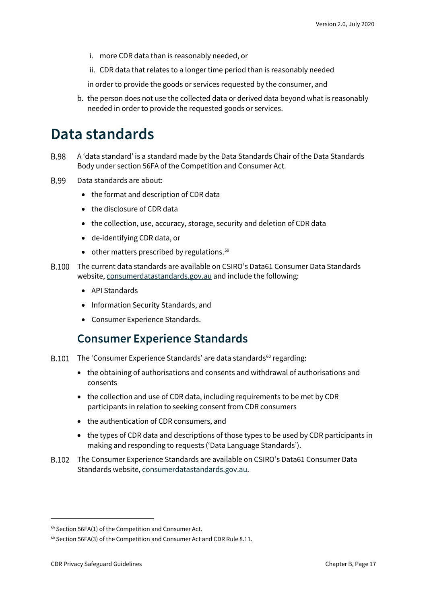- i. more CDR data than is reasonably needed, or
- ii. CDR data that relates to a longer time period than is reasonably needed

in order to provide the goods or services requested by the consumer, and

b. the person does not use the collected data or derived data beyond what is reasonably needed in order to provide the requested goods or services.

#### <span id="page-16-0"></span>**Data standards**

- **B.98** A 'data standard' is a standard made by the Data Standards Chair of the Data Standards Body under section 56FA of the Competition and Consumer Act.
- **B.99** Data standards are about:
	- the format and description of CDR data
	- the disclosure of CDR data
	- the collection, use, accuracy, storage, security and deletion of CDR data
	- de-identifying CDR data, or
	- $\bullet$  other matters prescribed by regulations.<sup>[59](#page-16-2)</sup>
- The current data standards are available on CSIRO's Data61 Consumer Data Standards website[, consumerdatastandards.gov.au](https://consumerdatastandards.gov.au/) and include the following:
	- API Standards
	- Information Security Standards, and
	- Consumer Experience Standards.

#### **Consumer Experience Standards**

- <span id="page-16-1"></span>B.101 The 'Consumer Experience Standards' are data standards $60$  regarding:
	- the obtaining of authorisations and consents and withdrawal of authorisations and consents
	- the collection and use of CDR data, including requirements to be met by CDR participants in relation to seeking consent from CDR consumers
	- the authentication of CDR consumers, and
	- the types of CDR data and descriptions of those types to be used by CDR participants in making and responding to requests ('Data Language Standards').
- The Consumer Experience Standards are available on CSIRO's Data61 Consumer Data Standards website[, consumerdatastandards.gov.au.](http://www.consumerdatastandards.gov.au/)

<span id="page-16-2"></span><sup>59</sup> Section 56FA(1) of the Competition and Consumer Act.

<span id="page-16-3"></span> $60$  Section 56FA(3) of the Competition and Consumer Act and CDR Rule 8.11.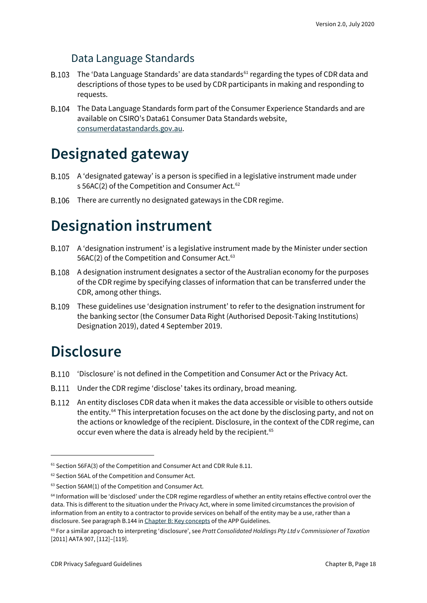#### Data Language Standards

- B.103 The 'Data Language Standards' are data standards<sup>[61](#page-17-3)</sup> regarding the types of CDR data and descriptions of those types to be used by CDR participants in making and responding to requests.
- The Data Language Standards form part of the Consumer Experience Standards and are available on CSIRO's Data61 Consumer Data Standards website, [consumerdatastandards.gov.au.](http://www.consumerdatastandards.gov.au/)

#### <span id="page-17-0"></span>**Designated gateway**

- A 'designated gateway' is a person is specified in a legislative instrument made under s 56AC(2) of the Competition and Consumer Act.<sup>[62](#page-17-4)</sup>
- B.106 There are currently no designated gateways in the CDR regime.

### <span id="page-17-1"></span>**Designation instrument**

- A 'designation instrument' is a legislative instrument made by the Minister under section 56AC(2) of the Competition and Consumer Act.<sup>[63](#page-17-5)</sup>
- A designation instrument designates a sector of the Australian economy for the purposes of the CDR regime by specifying classes of information that can be transferred under the CDR, among other things.
- These guidelines use 'designation instrument' to refer to the designation instrument for the banking sector (the Consumer Data Right (Authorised Deposit-Taking Institutions) Designation 2019), dated 4 September 2019.

### <span id="page-17-2"></span>**Disclosure**

- 'Disclosure' is not defined in the Competition and Consumer Act or the Privacy Act.
- Under the CDR regime 'disclose' takes its ordinary, broad meaning.
- An entity discloses CDR data when it makes the data accessible or visible to others outside the entity. [64](#page-17-6) This interpretation focuses on the act done by the disclosing party, and not on the actions or knowledge of the recipient. Disclosure, in the context of the CDR regime, can occur even where the data is already held by the recipient.<sup>[65](#page-17-7)</sup>

<span id="page-17-3"></span><sup>&</sup>lt;sup>61</sup> Section 56FA(3) of the Competition and Consumer Act and CDR Rule 8.11.

<span id="page-17-4"></span><sup>62</sup> Section 56AL of the Competition and Consumer Act.

<span id="page-17-5"></span><sup>63</sup> Section 56AM(1) of the Competition and Consumer Act.

<span id="page-17-6"></span><sup>64</sup> Information will be 'disclosed' under the CDR regime regardless of whether an entity retains effective control over the data. This is different to the situation under the Privacy Act, where in some limited circumstances the provision of information from an entity to a contractor to provide services on behalf of the entity may be a use, rather than a disclosure. See paragraph B.144 i[n Chapter B: Key concepts](https://www.oaic.gov.au/privacy/australian-privacy-principles-guidelines/chapter-b-key-concepts/#use) of the APP Guidelines.

<span id="page-17-7"></span><sup>65</sup> For a similar approach to interpreting 'disclosure', see *Pratt Consolidated Holdings Pty Ltd v Commissioner of Taxation*  [2011] AATA 907, [112]–[119].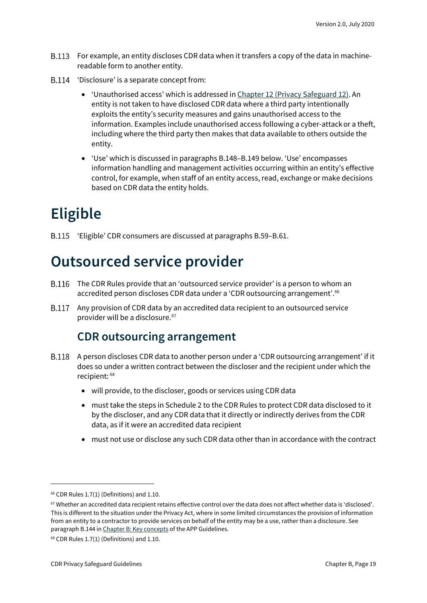- B.113 For example, an entity discloses CDR data when it transfers a copy of the data in machinereadable form to another entity.
- B.114 'Disclosure' is a separate concept from:
	- 'Unauthorised access' which is addressed i[n Chapter 12 \(Privacy Safeguard 12\).](https://www.oaic.gov.au/consumer-data-right/cdr-privacy-safeguard-guidelines/chapter-12-privacy-safeguard-12-security-of-cdr-data-and-destruction-of-de-identification-of-redundant-cdr-data) An entity is not taken to have disclosed CDR data where a third party intentionally exploits the entity's security measures and gains unauthorised access to the information. Examples include unauthorised access following a cyber-attackor a theft, including where the third party then makes that data available to others outside the entity.
	- 'Use' which is discussed in paragraphs B.148–B.149 below. 'Use' encompasses information handling and management activities occurring within an entity's effective control, for example, when staff of an entity access, read, exchange or make decisions based on CDR data the entity holds.

# <span id="page-18-0"></span>**Eligible**

'Eligible' CDR consumers are discussed at paragraphs B.59–B.61.

### <span id="page-18-1"></span>**Outsourced service provider**

- The CDR Rules provide that an 'outsourced service provider' is a person to whom an accredited person discloses CDR data under a 'CDR outsourcing arrangement'.<sup>[66](#page-18-3)</sup>
- <span id="page-18-2"></span>B.117 Any provision of CDR data by an accredited data recipient to an outsourced service provider will be a disclosure. [67](#page-18-4)

#### **CDR outsourcing arrangement**

- A person discloses CDR data to another person under a 'CDR outsourcing arrangement' if it does so under a written contract between the discloser and the recipient under which the recipient: [68](#page-18-5)
	- will provide, to the discloser, goods or services using CDR data
	- must take the steps in Schedule 2 to the CDR Rules to protect CDR data disclosed to it by the discloser, and any CDR data that it directly or indirectly derives from the CDR data, as if it were an accredited data recipient
	- must not use or disclose any such CDR data other than in accordance with the contract

<span id="page-18-3"></span> $66$  CDR Rules 1.7(1) (Definitions) and 1.10.

<span id="page-18-4"></span><sup>67</sup> Whether an accredited data recipient retains effective control over the data does not affect whether data is 'disclosed'. This is different to the situation under the Privacy Act, where in some limited circumstances the provision of information from an entity to a contractor to provide services on behalf of the entity may be a use, rather than a disclosure. See paragraph B.144 i[n Chapter B: Key concepts](https://www.oaic.gov.au/privacy/australian-privacy-principles-guidelines/chapter-b-key-concepts/#use) of the APP Guidelines.

<span id="page-18-5"></span> $68$  CDR Rules 1.7(1) (Definitions) and 1.10.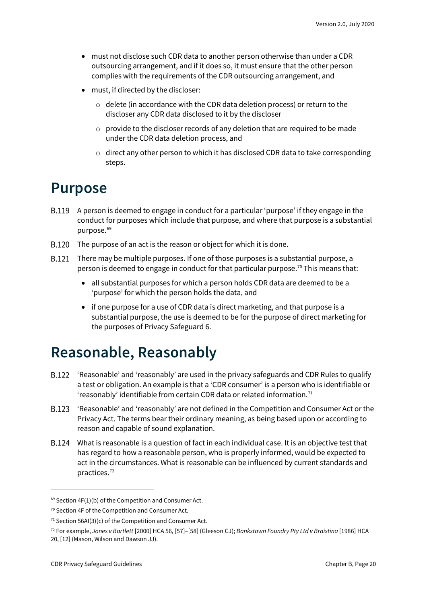- must not disclose such CDR data to another person otherwise than under a CDR outsourcing arrangement, and if it does so, it must ensure that the other person complies with the requirements of the CDR outsourcing arrangement, and
- must, if directed by the discloser:
	- o delete (in accordance with the CDR data deletion process) or return to the discloser any CDR data disclosed to it by the discloser
	- o provide to the discloser records of any deletion that are required to be made under the CDR data deletion process, and
	- $\circ$  direct any other person to which it has disclosed CDR data to take corresponding steps.

#### <span id="page-19-0"></span>**Purpose**

- A person is deemed to engage in conduct for a particular 'purpose' if they engage in the conduct for purposes which include that purpose, and where that purpose is a substantial purpose.<sup>[69](#page-19-2)</sup>
- B.120 The purpose of an act is the reason or object for which it is done.
- There may be multiple purposes. If one of those purposes is a substantial purpose, a person is deemed to engage in conduct for that particular purpose.<sup>[70](#page-19-3)</sup> This means that:
	- all substantial purposes for which a person holds CDR data are deemed to be a 'purpose' for which the person holds the data, and
	- if one purpose for a use of CDR data is direct marketing, and that purpose is a substantial purpose, the use is deemed to be for the purpose of direct marketing for the purposes of Privacy Safeguard 6.

### <span id="page-19-1"></span>**Reasonable, Reasonably**

- B.122 'Reasonable' and 'reasonably' are used in the privacy safeguards and CDR Rules to qualify a test or obligation. An example is that a 'CDR consumer' is a person who is identifiable or 'reasonably' identifiable from certain CDR data or related information.<sup>[71](#page-19-4)</sup>
- 'Reasonable' and 'reasonably' are not defined in the Competition and Consumer Act or the Privacy Act. The terms bear their ordinary meaning, as being based upon or according to reason and capable of sound explanation.
- What is reasonable is a question of fact in each individual case. It is an objective test that has regard to how a reasonable person, who is properly informed, would be expected to act in the circumstances. What is reasonable can be influenced by current standards and practices.[72](#page-19-5)

<span id="page-19-2"></span> $69$  Section 4F(1)(b) of the Competition and Consumer Act.

<span id="page-19-3"></span><sup>70</sup> Section 4F of the Competition and Consumer Act.

<span id="page-19-4"></span> $71$  Section 56AI(3)(c) of the Competition and Consumer Act.

<span id="page-19-5"></span><sup>72</sup> For example, *Jones v Bartlett* [2000] HCA 56, [57]–[58] (Gleeson CJ); *Bankstown Foundry Pty Ltd v Braistina* [1986] HCA 20, [12] (Mason, Wilson and Dawson JJ).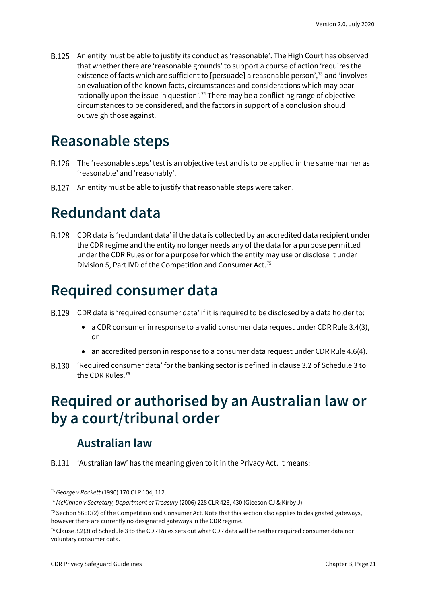An entity must be able to justify its conduct as 'reasonable'. The High Court has observed that whether there are 'reasonable grounds' to support a course of action 'requires the existence of facts which are sufficient to [persuade] a reasonable person',[73](#page-20-5) and 'involves an evaluation of the known facts, circumstances and considerations which may bear rationally upon the issue in question'.<sup>[74](#page-20-6)</sup> There may be a conflicting range of objective circumstances to be considered, and the factors in support of a conclusion should outweigh those against.

#### <span id="page-20-0"></span>**Reasonable steps**

- B.126 The 'reasonable steps' test is an objective test and is to be applied in the same manner as 'reasonable' and 'reasonably'.
- B.127 An entity must be able to justify that reasonable steps were taken.

### <span id="page-20-1"></span>**Redundant data**

CDR data is 'redundant data' if the data is collected by an accredited data recipient under the CDR regime and the entity no longer needs any of the data for a purpose permitted under the CDR Rules or for a purpose for which the entity may use or disclose it under Division 5, Part IVD of the Competition and Consumer Act.[75](#page-20-7)

### <span id="page-20-2"></span>**Required consumer data**

- CDR data is 'required consumer data' if it is required to be disclosed by a data holder to:
	- a CDR consumer in response to a valid consumer data request under CDR Rule 3.4(3), or
	- an accredited person in response to a consumer data request under CDR Rule 4.6(4).
- 'Required consumer data' for the banking sector is defined in clause 3.2 of Schedule 3 to the CDR Rules.<sup>[76](#page-20-8)</sup>

### <span id="page-20-3"></span>**Required or authorised by an Australian law or by a court/tribunal order**

#### **Australian law**

<span id="page-20-4"></span>B.131 'Australian law' has the meaning given to it in the Privacy Act. It means:

<span id="page-20-5"></span><sup>73</sup> *George v Rockett* (1990) 170 CLR 104, 112.

<span id="page-20-6"></span><sup>74</sup> *McKinnon v Secretary, Department of Treasury* (2006) 228 CLR 423, 430 (Gleeson CJ & Kirby J).

<span id="page-20-7"></span> $75$  Section 56EO(2) of the Competition and Consumer Act. Note that this section also applies to designated gateways, however there are currently no designated gateways in the CDR regime.

<span id="page-20-8"></span> $76$  Clause 3.2(3) of Schedule 3 to the CDR Rules sets out what CDR data will be neither required consumer data nor voluntary consumer data.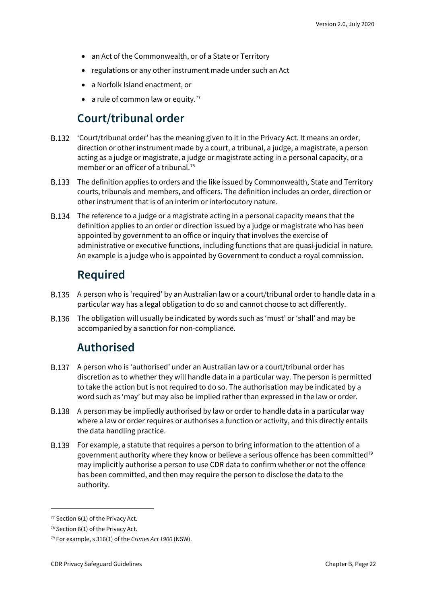- an Act of the Commonwealth, or of a State or Territory
- regulations or any other instrument made under such an Act
- a Norfolk Island enactment, or
- a rule of common law or equity.<sup>[77](#page-21-3)</sup>

#### **Court/tribunal order**

- <span id="page-21-0"></span>'Court/tribunal order' has the meaning given to it in the Privacy Act. It means an order, direction or other instrument made by a court, a tribunal, a judge, a magistrate, a person acting as a judge or magistrate, a judge or magistrate acting in a personal capacity, or a member or an officer of a tribunal.<sup>[78](#page-21-4)</sup>
- The definition applies to orders and the like issued by Commonwealth, State and Territory courts, tribunals and members, and officers. The definition includes an order, direction or other instrument that is of an interim or interlocutory nature.
- The reference to a judge or a magistrate acting in a personal capacity means that the definition applies to an order or direction issued by a judge or magistrate who has been appointed by government to an office or inquiry that involves the exercise of administrative or executive functions, including functions that are quasi-judicial in nature. An example is a judge who is appointed by Government to conduct a royal commission.

#### **Required**

- <span id="page-21-1"></span>A person who is 'required' by an Australian law or a court/tribunal order to handle data in a particular way has a legal obligation to do so and cannot choose to act differently.
- <span id="page-21-2"></span>The obligation will usually be indicated by words such as 'must' or 'shall' and may be accompanied by a sanction for non-compliance.

#### **Authorised**

- A person who is 'authorised' under an Australian law or a court/tribunal order has discretion as to whether they will handle data in a particular way. The person is permitted to take the action but is not required to do so. The authorisation may be indicated by a word such as 'may' but may also be implied rather than expressed in the law or order.
- A person may be impliedly authorised by law or order to handle data in a particular way where a law or order requires or authorises a function or activity, and this directly entails the data handling practice.
- For example, a statute that requires a person to bring information to the attention of a government authority where they know or believe a serious offence has been committed<sup>[79](#page-21-5)</sup> may implicitly authorise a person to use CDR data to confirm whether or not the offence has been committed, and then may require the person to disclose the data to the authority.

<span id="page-21-3"></span> $77$  Section 6(1) of the Privacy Act.

<span id="page-21-4"></span> $78$  Section 6(1) of the Privacy Act.

<span id="page-21-5"></span><sup>79</sup> For example, s 316(1) of the *Crimes Act 1900* (NSW).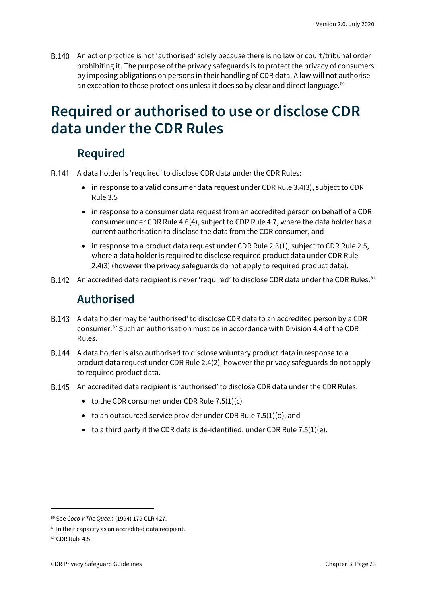B.140 An act or practice is not 'authorised' solely because there is no law or court/tribunal order prohibiting it. The purpose of the privacy safeguards is to protect the privacy of consumers by imposing obligations on persons in their handling of CDR data. A law will not authorise an exception to those protections unless it does so by clear and direct language.<sup>80</sup>

### <span id="page-22-0"></span>**Required or authorised to use or disclose CDR data under the CDR Rules**

#### **Required**

- <span id="page-22-1"></span>A data holder is 'required' to disclose CDR data under the CDR Rules:
	- in response to a valid consumer data request under CDR Rule 3.4(3), subject to CDR Rule 3.5
	- in response to a consumer data request from an accredited person on behalf of a CDR consumer under CDR Rule 4.6(4), subject to CDR Rule 4.7, where the data holder has a current authorisation to disclose the data from the CDR consumer, and
	- in response to a product data request under CDR Rule 2.3(1), subject to CDR Rule 2.5, where a data holder is required to disclose required product data under CDR Rule 2.4(3) (however the privacy safeguards do not apply to required product data).
- <span id="page-22-2"></span>B.142 An accredited data recipient is never 'required' to disclose CDR data under the CDR Rules.<sup>[81](#page-22-4)</sup>

#### **Authorised**

- A data holder may be 'authorised' to disclose CDR data to an accredited person by a CDR consumer.[82](#page-22-5) Such an authorisation must be in accordance with Division 4.4 of the CDR Rules.
- A data holder is also authorised to disclose voluntary product data in response to a product data request under CDR Rule 2.4(2), however the privacy safeguards do not apply to required product data.
- An accredited data recipient is 'authorised' to disclose CDR data under the CDR Rules:
	- to the CDR consumer under CDR Rule  $7.5(1)(c)$
	- to an outsourced service provider under CDR Rule  $7.5(1)(d)$ , and
	- $\bullet$  to a third party if the CDR data is de-identified, under CDR Rule 7.5(1)(e).

<span id="page-22-3"></span><sup>80</sup> See *Coco v The Queen* (1994) 179 CLR 427.

<span id="page-22-4"></span><sup>81</sup> In their capacity as an accredited data recipient.

<span id="page-22-5"></span><sup>82</sup> CDR Rule 4.5.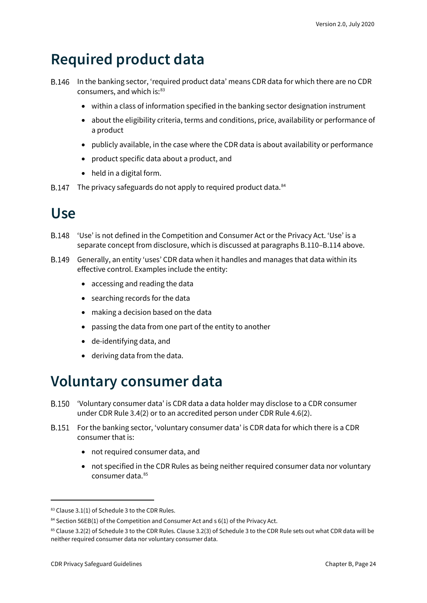### <span id="page-23-0"></span>**Required product data**

- B.146 In the banking sector, 'required product data' means CDR data for which there are no CDR consumers, and which is:<sup>[83](#page-23-3)</sup>
	- within a class of information specified in the banking sector designation instrument
	- about the eligibility criteria, terms and conditions, price, availability or performance of a product
	- publicly available, in the case where the CDR data is about availability or performance
	- product specific data about a product, and
	- held in a digital form.
- B.147 The privacy safeguards do not apply to required product data. [84](#page-23-4)

### <span id="page-23-1"></span>**Use**

- B.148 'Use' is not defined in the Competition and Consumer Act or the Privacy Act. 'Use' is a separate concept from disclosure, which is discussed at paragraphs B.110–B.114 above.
- Generally, an entity 'uses' CDR data when it handles and manages that data within its effective control. Examples include the entity:
	- accessing and reading the data
	- searching records for the data
	- making a decision based on the data
	- passing the data from one part of the entity to another
	- de-identifying data, and
	- deriving data from the data.

#### <span id="page-23-2"></span>**Voluntary consumer data**

- **B.150** 'Voluntary consumer data' is CDR data a data holder may disclose to a CDR consumer under CDR Rule 3.4(2) or to an accredited person under CDR Rule 4.6(2).
- **B.151** For the banking sector, 'voluntary consumer data' is CDR data for which there is a CDR consumer that is:
	- not required consumer data, and
	- not specified in the CDR Rules as being neither required consumer data nor voluntary consumer data. [85](#page-23-5)

<span id="page-23-3"></span><sup>83</sup> Clause 3.1(1) of Schedule 3 to the CDR Rules.

<span id="page-23-4"></span> $84$  Section 56EB(1) of the Competition and Consumer Act and s 6(1) of the Privacy Act.

<span id="page-23-5"></span><sup>85</sup> Clause 3.2(2) of Schedule 3 to the CDR Rules. Clause 3.2(3) of Schedule 3 to the CDR Rule sets out what CDR data will be neither required consumer data nor voluntary consumer data.